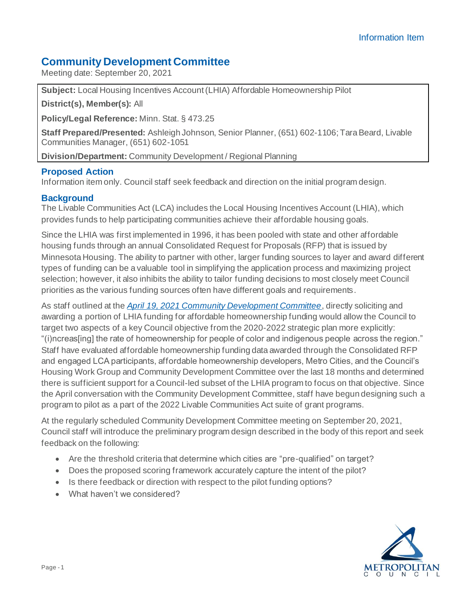# **Community Development Committee**

Meeting date: September 20, 2021

**Subject:** Local Housing Incentives Account (LHIA) Affordable Homeownership Pilot

**District(s), Member(s):** All

**Policy/Legal Reference:** Minn. Stat. § 473.25

**Staff Prepared/Presented:** Ashleigh Johnson, Senior Planner, (651) 602-1106; Tara Beard, Livable Communities Manager, (651) 602-1051

**Division/Department:** Community Development / Regional Planning

### **Proposed Action**

Information item only. Council staff seek feedback and direction on the initial program design.

### **Background**

The Livable Communities Act (LCA) includes the Local Housing Incentives Account (LHIA), which provides funds to help participating communities achieve their affordable housing goals.

Since the LHIA was first implemented in 1996, it has been pooled with state and other affordable housing funds through an annual Consolidated Request for Proposals (RFP) that is issued by Minnesota Housing. The ability to partner with other, larger funding sources to layer and award different types of funding can be a valuable tool in simplifying the application process and maximizing project selection; however, it also inhibits the ability to tailor funding decisions to most closely meet Council priorities as the various funding sources often have different goals and requirements.

As staff outlined at the *[April 19, 2021 Community Development Committee](https://metrocouncil.org/Council-Meetings/Committees/Community-Development-Committee/2021/April-19,-2021/LHIAhomeownershippilot-info.aspx)*, directly soliciting and awarding a portion of LHIA funding for affordable homeownership funding would allow the Council to target two aspects of a key Council objective from the 2020-2022 strategic plan more explicitly: "(i)ncreas[ing] the rate of homeownership for people of color and indigenous people across the region." Staff have evaluated affordable homeownership funding data awarded through the Consolidated RFP and engaged LCA participants, affordable homeownership developers, Metro Cities, and the Council's Housing Work Group and Community Development Committee over the last 18 months and determined there is sufficient support for a Council-led subset of the LHIA program to focus on that objective. Since the April conversation with the Community Development Committee, staff have begun designing such a program to pilot as a part of the 2022 Livable Communities Act suite of grant programs.

At the regularly scheduled Community Development Committee meeting on September 20, 2021, Council staff will introduce the preliminary program design described in the body of this report and seek feedback on the following:

- Are the threshold criteria that determine which cities are "pre-qualified" on target?
- Does the proposed scoring framework accurately capture the intent of the pilot?
- Is there feedback or direction with respect to the pilot funding options?
- What haven't we considered?

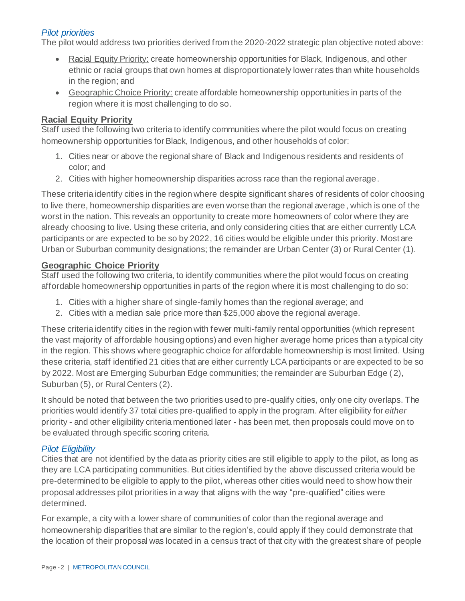## *Pilot priorities*

The pilot would address two priorities derived from the 2020-2022 strategic plan objective noted above:

- Racial Equity Priority: create homeownership opportunities for Black, Indigenous, and other ethnic or racial groups that own homes at disproportionately lower rates than white households in the region; and
- Geographic Choice Priority: create affordable homeownership opportunities in parts of the region where it is most challenging to do so.

#### **Racial Equity Priority**

Staff used the following two criteria to identify communities where the pilot would focus on creating homeownership opportunities for Black, Indigenous, and other households of color:

- 1. Cities near or above the regional share of Black and Indigenous residents and residents of color; and
- 2. Cities with higher homeownership disparities across race than the regional average.

These criteria identify cities in the region where despite significant shares of residents of color choosing to live there, homeownership disparities are even worse than the regional average, which is one of the worst in the nation. This reveals an opportunity to create more homeowners of color where they are already choosing to live. Using these criteria, and only considering cities that are either currently LCA participants or are expected to be so by 2022, 16 cities would be eligible under this priority. Most are Urban or Suburban community designations; the remainder are Urban Center (3) or Rural Center (1).

#### **Geographic Choice Priority**

Staff used the following two criteria, to identify communities where the pilot would focus on creating affordable homeownership opportunities in parts of the region where it is most challenging to do so:

- 1. Cities with a higher share of single-family homes than the regional average; and
- 2. Cities with a median sale price more than \$25,000 above the regional average.

These criteria identify cities in the region with fewer multi-family rental opportunities (which represent the vast majority of affordable housing options) and even higher average home prices than a typical city in the region. This shows where geographic choice for affordable homeownership is most limited. Using these criteria, staff identified 21 cities that are either currently LCA participants or are expected to be so by 2022. Most are Emerging Suburban Edge communities; the remainder are Suburban Edge ( 2), Suburban (5), or Rural Centers (2).

It should be noted that between the two priorities used to pre-qualify cities, only one city overlaps. The priorities would identify 37 total cities pre-qualified to apply in the program. After eligibility for *either*  priority - and other eligibility criteria mentioned later - has been met, then proposals could move on to be evaluated through specific scoring criteria.

### *Pilot Eligibility*

Cities that are not identified by the data as priority cities are still eligible to apply to the pilot, as long as they are LCA participating communities. But cities identified by the above discussed criteria would be pre-determined to be eligible to apply to the pilot, whereas other cities would need to show how their proposal addresses pilot priorities in a way that aligns with the way "pre-qualified" cities were determined.

For example, a city with a lower share of communities of color than the regional average and homeownership disparities that are similar to the region's, could apply if they could demonstrate that the location of their proposal was located in a census tract of that city with the greatest share of people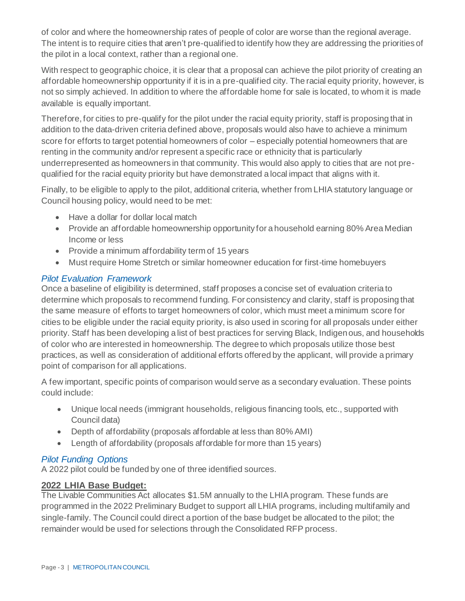of color and where the homeownership rates of people of color are worse than the regional average. The intent is to require cities that aren't pre-qualified to identify how they are addressing the priorities of the pilot in a local context, rather than a regional one.

With respect to geographic choice, it is clear that a proposal can achieve the pilot priority of creating an affordable homeownership opportunity if it is in a pre-qualified city. The racial equity priority, however, is not so simply achieved. In addition to where the affordable home for sale is located, to whom it is made available is equally important.

Therefore, for cities to pre-qualify for the pilot under the racial equity priority, staff is proposing that in addition to the data-driven criteria defined above, proposals would also have to achieve a minimum score for efforts to target potential homeowners of color – especially potential homeowners that are renting in the community and/or represent a specific race or ethnicity that is particularly underrepresented as homeowners in that community. This would also apply to cities that are not prequalified for the racial equity priority but have demonstrated a local impact that aligns with it.

Finally, to be eligible to apply to the pilot, additional criteria, whether from LHIA statutory language or Council housing policy, would need to be met:

- Have a dollar for dollar local match
- Provide an affordable homeownership opportunity for a household earning 80% Area Median Income or less
- Provide a minimum affordability term of 15 years
- Must require Home Stretch or similar homeowner education for first-time homebuyers

### *Pilot Evaluation Framework*

Once a baseline of eligibility is determined, staff proposes a concise set of evaluation criteria to determine which proposals to recommend funding. For consistency and clarity, staff is proposing that the same measure of efforts to target homeowners of color, which must meet a minimum score for cities to be eligible under the racial equity priority, is also used in scoring for all proposals under either priority. Staff has been developing a list of best practices for serving Black, Indigenous, and households of color who are interested in homeownership. The degree to which proposals utilize those best practices, as well as consideration of additional efforts offered by the applicant, will provide a primary point of comparison for all applications.

A few important, specific points of comparison would serve as a secondary evaluation. These points could include:

- Unique local needs (immigrant households, religious financing tools, etc., supported with Council data)
- Depth of affordability (proposals affordable at less than 80% AMI)
- Length of affordability (proposals affordable for more than 15 years)

# *Pilot Funding Options*

A 2022 pilot could be funded by one of three identified sources.

### **2022 LHIA Base Budget:**

The Livable Communities Act allocates \$1.5M annually to the LHIA program. These funds are programmed in the 2022 Preliminary Budget to support all LHIA programs, including multifamily and single-family. The Council could direct a portion of the base budget be allocated to the pilot; the remainder would be used for selections through the Consolidated RFP process.